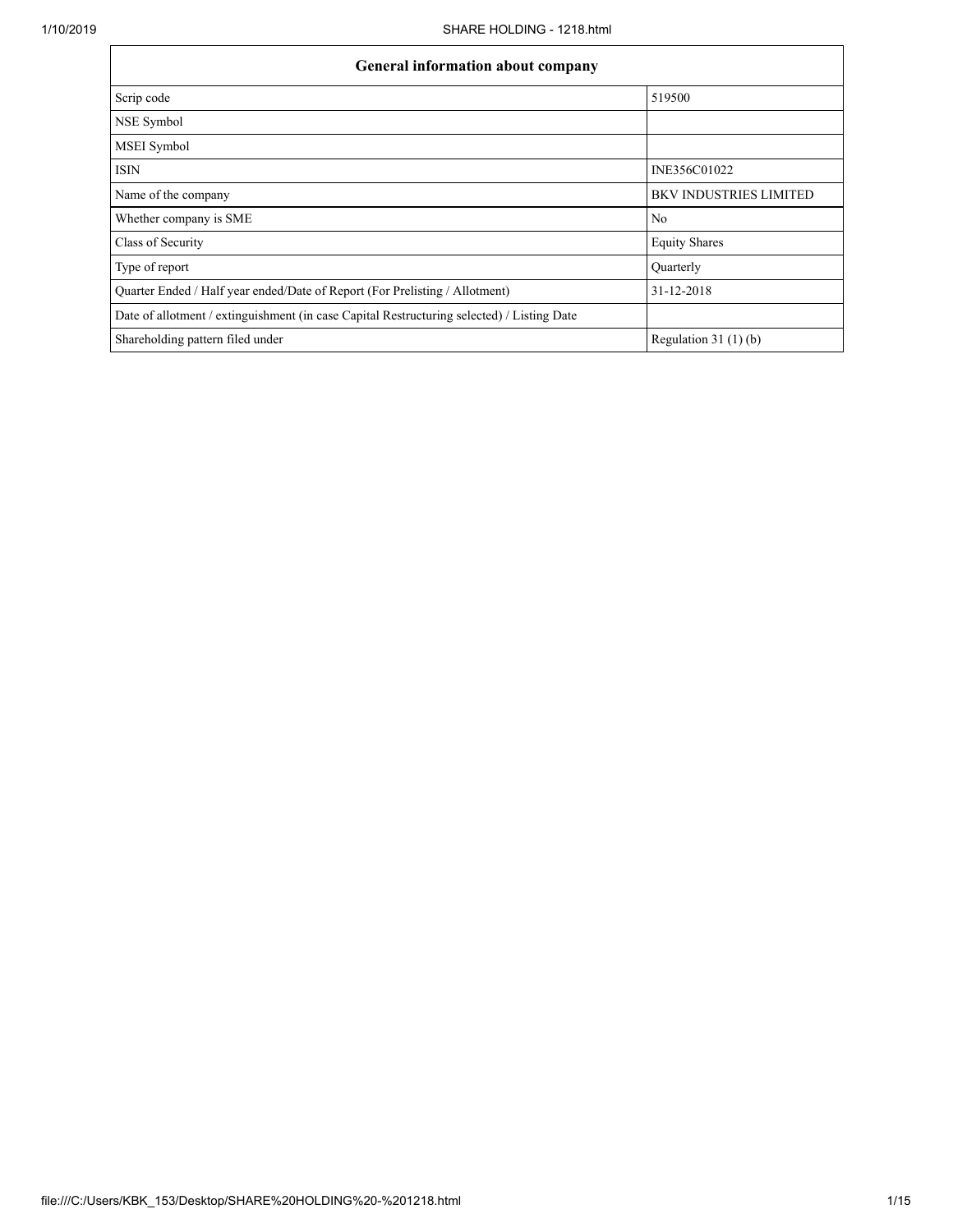| <b>General information about company</b>                                                   |                               |  |  |  |  |  |
|--------------------------------------------------------------------------------------------|-------------------------------|--|--|--|--|--|
| Scrip code                                                                                 | 519500                        |  |  |  |  |  |
| NSE Symbol                                                                                 |                               |  |  |  |  |  |
| MSEI Symbol                                                                                |                               |  |  |  |  |  |
| <b>ISIN</b>                                                                                | INE356C01022                  |  |  |  |  |  |
| Name of the company                                                                        | <b>BKV INDUSTRIES LIMITED</b> |  |  |  |  |  |
| Whether company is SME                                                                     | No                            |  |  |  |  |  |
| Class of Security                                                                          | <b>Equity Shares</b>          |  |  |  |  |  |
| Type of report                                                                             | Quarterly                     |  |  |  |  |  |
| Quarter Ended / Half year ended/Date of Report (For Prelisting / Allotment)                | 31-12-2018                    |  |  |  |  |  |
| Date of allotment / extinguishment (in case Capital Restructuring selected) / Listing Date |                               |  |  |  |  |  |
| Shareholding pattern filed under                                                           | Regulation $31(1)(b)$         |  |  |  |  |  |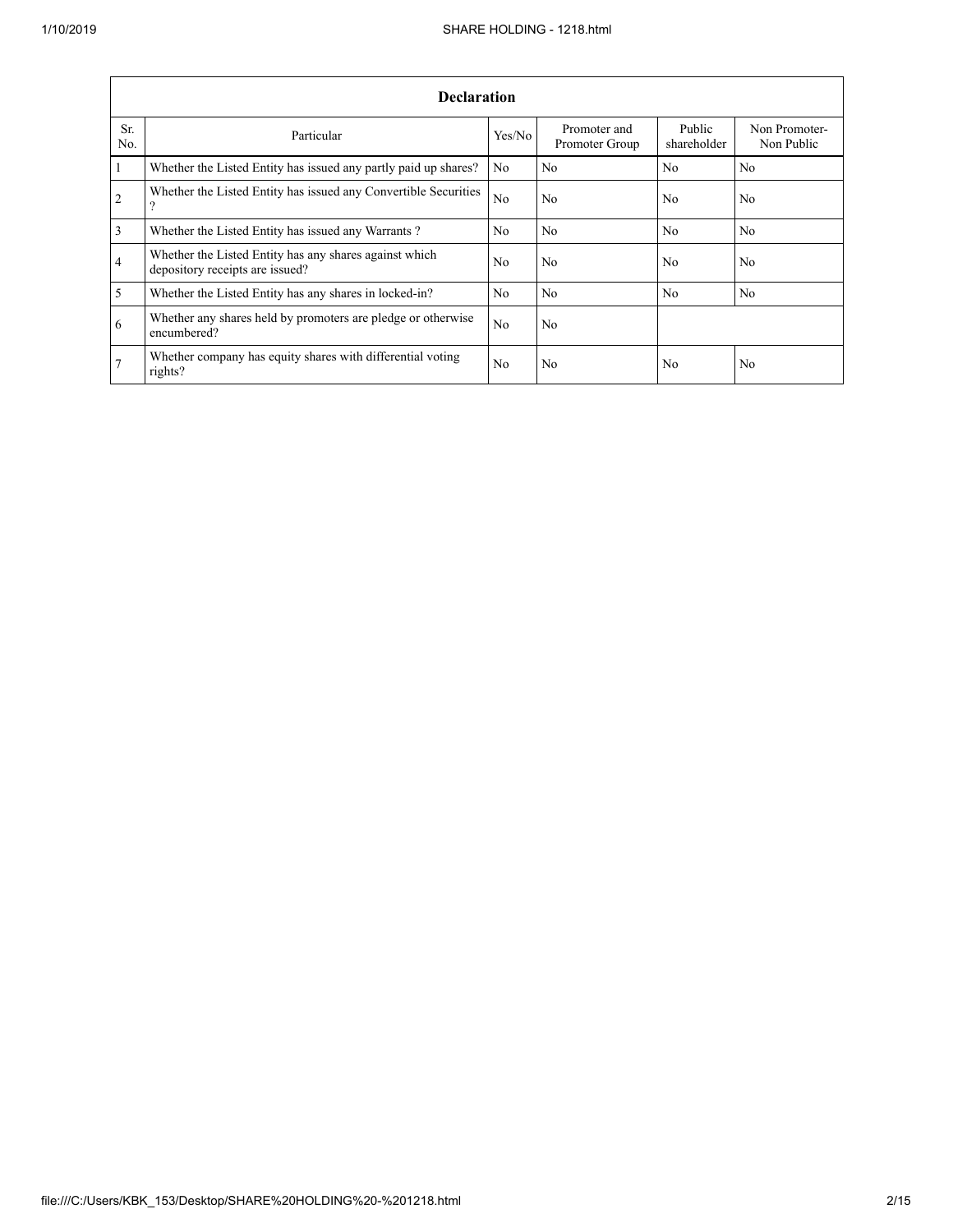|                 | <b>Declaration</b>                                                                        |                |                                |                       |                             |  |  |  |  |  |
|-----------------|-------------------------------------------------------------------------------------------|----------------|--------------------------------|-----------------------|-----------------------------|--|--|--|--|--|
| Sr.<br>No.      | Particular                                                                                | Yes/No         | Promoter and<br>Promoter Group | Public<br>shareholder | Non Promoter-<br>Non Public |  |  |  |  |  |
| 1               | Whether the Listed Entity has issued any partly paid up shares?                           | No             | No                             | No                    | No                          |  |  |  |  |  |
| 2               | Whether the Listed Entity has issued any Convertible Securities<br>9                      | No.            | No                             | No                    | N <sub>0</sub>              |  |  |  |  |  |
| $\overline{3}$  | Whether the Listed Entity has issued any Warrants?                                        | No             | No                             | No                    | No                          |  |  |  |  |  |
| $\overline{4}$  | Whether the Listed Entity has any shares against which<br>depository receipts are issued? | No.            | No                             | No                    | N <sub>0</sub>              |  |  |  |  |  |
| 5               | Whether the Listed Entity has any shares in locked-in?                                    | No             | No                             | No                    | N <sub>o</sub>              |  |  |  |  |  |
| 6               | Whether any shares held by promoters are pledge or otherwise<br>encumbered?               | N <sub>0</sub> | N <sub>0</sub>                 |                       |                             |  |  |  |  |  |
| $7\phantom{.0}$ | Whether company has equity shares with differential voting<br>rights?                     | No             | N <sub>0</sub>                 | No                    | N <sub>0</sub>              |  |  |  |  |  |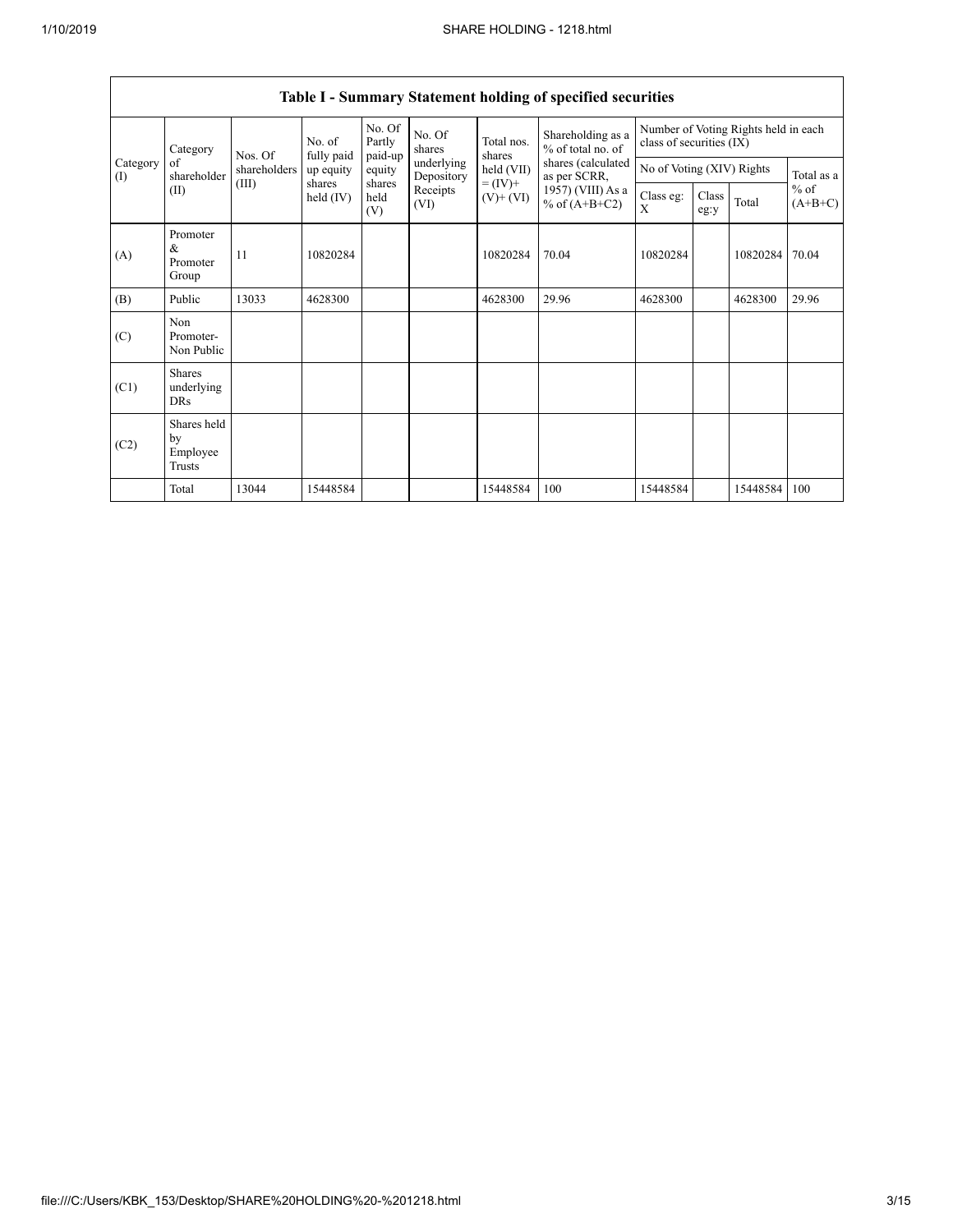|                 | Category                                  | Nos. Of      | No. of<br>fully paid  | No. Of<br>Partly<br>paid-up | No. Of<br>shares         | Total nos.<br>shares         | Shareholding as a<br>% of total no. of | Number of Voting Rights held in each<br>class of securities (IX) |               |          |                     |  |
|-----------------|-------------------------------------------|--------------|-----------------------|-----------------------------|--------------------------|------------------------------|----------------------------------------|------------------------------------------------------------------|---------------|----------|---------------------|--|
| Category<br>(I) | of<br>shareholder                         | shareholders | up equity             | equity                      | underlying<br>Depository | held (VII)                   | shares (calculated<br>as per SCRR,     | No of Voting (XIV) Rights                                        |               |          | Total as a          |  |
|                 | (II)                                      | (III)        | shares<br>held $(IV)$ | shares<br>held<br>(V)       | Receipts<br>(VI)         | $= (IV) +$<br>$(V)$ + $(VI)$ | 1957) (VIII) As a<br>% of $(A+B+C2)$   | Class eg:<br>X                                                   | Class<br>eg:y | Total    | $%$ of<br>$(A+B+C)$ |  |
| (A)             | Promoter<br>&<br>Promoter<br>Group        | 11           | 10820284              |                             |                          | 10820284                     | 70.04                                  | 10820284                                                         |               | 10820284 | 70.04               |  |
| (B)             | Public                                    | 13033        | 4628300               |                             |                          | 4628300                      | 29.96                                  | 4628300                                                          |               | 4628300  | 29.96               |  |
| (C)             | Non<br>Promoter-<br>Non Public            |              |                       |                             |                          |                              |                                        |                                                                  |               |          |                     |  |
| (C1)            | <b>Shares</b><br>underlying<br><b>DRs</b> |              |                       |                             |                          |                              |                                        |                                                                  |               |          |                     |  |
| (C2)            | Shares held<br>by<br>Employee<br>Trusts   |              |                       |                             |                          |                              |                                        |                                                                  |               |          |                     |  |
|                 | Total                                     | 13044        | 15448584              |                             |                          | 15448584                     | 100                                    | 15448584                                                         |               | 15448584 | 100                 |  |

# **Table I - Summary Statement holding of specified securities**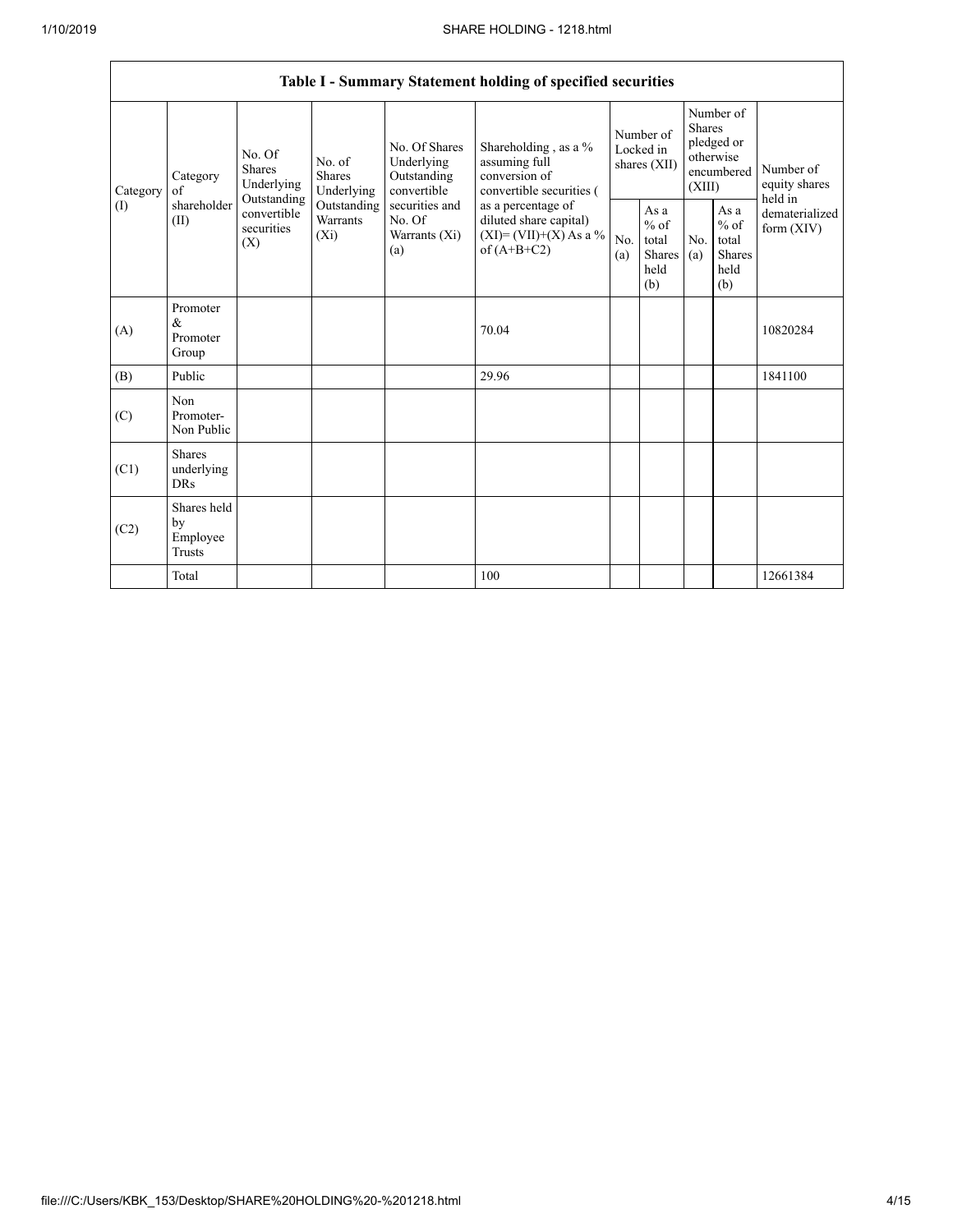|                            | Table I - Summary Statement holding of specified securities |                                                 |                                    |                                                                                                                                                                                                                                                                     |                          |                                                  |            |                                                                               |                                |                                       |
|----------------------------|-------------------------------------------------------------|-------------------------------------------------|------------------------------------|---------------------------------------------------------------------------------------------------------------------------------------------------------------------------------------------------------------------------------------------------------------------|--------------------------|--------------------------------------------------|------------|-------------------------------------------------------------------------------|--------------------------------|---------------------------------------|
| Category<br>Category<br>of |                                                             | No. Of<br>Shares<br>Underlying                  | No. of<br>Shares<br>Underlying     | No. Of Shares<br>Shareholding, as a %<br>assuming full<br>Underlying<br>conversion of<br>Outstanding<br>convertible<br>securities and<br>as a percentage of<br>No. Of<br>diluted share capital)<br>$(XI)=(VII)+(X) As a %$<br>Warrants (Xi)<br>of $(A+B+C2)$<br>(a) | convertible securities ( | Number of<br>Locked in<br>shares (XII)           |            | Number of<br><b>Shares</b><br>pledged or<br>otherwise<br>encumbered<br>(XIII) |                                | Number of<br>equity shares<br>held in |
| (1)                        | shareholder<br>(II)                                         | Outstanding<br>convertible<br>securities<br>(X) | Outstanding<br>Warrants<br>$(X_i)$ |                                                                                                                                                                                                                                                                     | No.<br>(a)               | As a<br>$%$ of<br>total<br>Shares<br>held<br>(b) | No.<br>(a) | As a<br>$%$ of<br>total<br><b>Shares</b><br>held<br>(b)                       | dematerialized<br>form $(XIV)$ |                                       |
| (A)                        | Promoter<br>&<br>Promoter<br>Group                          |                                                 |                                    |                                                                                                                                                                                                                                                                     | 70.04                    |                                                  |            |                                                                               |                                | 10820284                              |
| (B)                        | Public                                                      |                                                 |                                    |                                                                                                                                                                                                                                                                     | 29.96                    |                                                  |            |                                                                               |                                | 1841100                               |
| (C)                        | Non<br>Promoter-<br>Non Public                              |                                                 |                                    |                                                                                                                                                                                                                                                                     |                          |                                                  |            |                                                                               |                                |                                       |
| (C1)                       | <b>Shares</b><br>underlying<br><b>DRs</b>                   |                                                 |                                    |                                                                                                                                                                                                                                                                     |                          |                                                  |            |                                                                               |                                |                                       |
| (C2)                       | Shares held<br>by<br>Employee<br><b>Trusts</b>              |                                                 |                                    |                                                                                                                                                                                                                                                                     |                          |                                                  |            |                                                                               |                                |                                       |
|                            | Total                                                       |                                                 |                                    |                                                                                                                                                                                                                                                                     | 100                      |                                                  |            |                                                                               |                                | 12661384                              |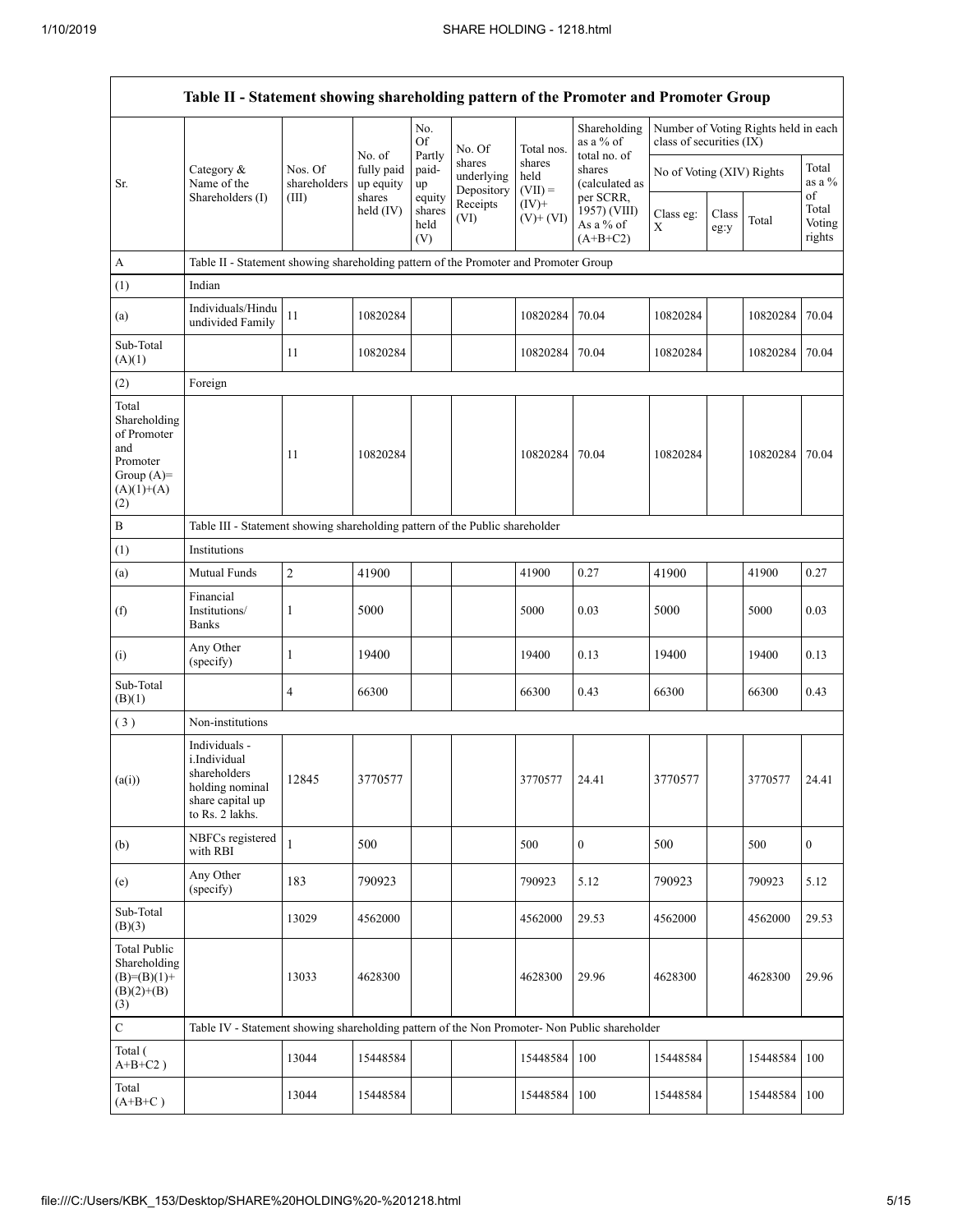|                                                                                                | Table II - Statement showing shareholding pattern of the Promoter and Promoter Group                    |                         |                         |                                 |                                    |                             |                                                      |                           |               |                                      |                                 |
|------------------------------------------------------------------------------------------------|---------------------------------------------------------------------------------------------------------|-------------------------|-------------------------|---------------------------------|------------------------------------|-----------------------------|------------------------------------------------------|---------------------------|---------------|--------------------------------------|---------------------------------|
|                                                                                                |                                                                                                         |                         | No. of                  | No.<br><b>Of</b><br>Partly      | No. Of                             | Total nos.                  | Shareholding<br>as a % of<br>total no. of            | class of securities (IX)  |               | Number of Voting Rights held in each |                                 |
| Sr.                                                                                            | Category &<br>Name of the                                                                               | Nos. Of<br>shareholders | fully paid<br>up equity | paid-<br>up                     | shares<br>underlying<br>Depository | shares<br>held<br>$(VII) =$ | shares<br>(calculated as                             | No of Voting (XIV) Rights |               |                                      | Total<br>as a %                 |
|                                                                                                | Shareholders (I)                                                                                        | (III)                   | shares<br>held $(IV)$   | equity<br>shares<br>held<br>(V) | Receipts<br>(VI)                   | $(IV)+$<br>$(V)$ + $(VI)$   | per SCRR,<br>1957) (VIII)<br>As a % of<br>$(A+B+C2)$ | Class eg:<br>X            | Class<br>eg:y | Total                                | of<br>Total<br>Voting<br>rights |
| A                                                                                              | Table II - Statement showing shareholding pattern of the Promoter and Promoter Group                    |                         |                         |                                 |                                    |                             |                                                      |                           |               |                                      |                                 |
| (1)                                                                                            | Indian                                                                                                  |                         |                         |                                 |                                    |                             |                                                      |                           |               |                                      |                                 |
| (a)                                                                                            | Individuals/Hindu<br>undivided Family                                                                   | 11                      | 10820284                |                                 |                                    | 10820284                    | 70.04                                                | 10820284                  |               | 10820284                             | 70.04                           |
| Sub-Total<br>(A)(1)                                                                            |                                                                                                         | 11                      | 10820284                |                                 |                                    | 10820284                    | 70.04                                                | 10820284                  |               | 10820284                             | 70.04                           |
| (2)                                                                                            | Foreign                                                                                                 |                         |                         |                                 |                                    |                             |                                                      |                           |               |                                      |                                 |
| Total<br>Shareholding<br>of Promoter<br>and<br>Promoter<br>Group $(A)=$<br>$(A)(1)+(A)$<br>(2) |                                                                                                         | 11                      | 10820284                |                                 |                                    | 10820284                    | 70.04                                                | 10820284                  |               | 10820284                             | 70.04                           |
| B                                                                                              | Table III - Statement showing shareholding pattern of the Public shareholder                            |                         |                         |                                 |                                    |                             |                                                      |                           |               |                                      |                                 |
| (1)                                                                                            | Institutions                                                                                            |                         |                         |                                 |                                    |                             |                                                      |                           |               |                                      |                                 |
| (a)                                                                                            | Mutual Funds                                                                                            | $\overline{c}$          | 41900                   |                                 |                                    | 41900                       | 0.27                                                 | 41900                     |               | 41900                                | 0.27                            |
| (f)                                                                                            | Financial<br>Institutions/<br><b>Banks</b>                                                              | 1                       | 5000                    |                                 |                                    | 5000                        | 0.03                                                 | 5000                      |               | 5000                                 | 0.03                            |
| (i)                                                                                            | Any Other<br>(specify)                                                                                  | $\mathbf{1}$            | 19400                   |                                 |                                    | 19400                       | 0.13                                                 | 19400                     |               | 19400                                | 0.13                            |
| Sub-Total<br>(B)(1)                                                                            |                                                                                                         | 4                       | 66300                   |                                 |                                    | 66300                       | 0.43                                                 | 66300                     |               | 66300                                | 0.43                            |
| (3)                                                                                            | Non-institutions                                                                                        |                         |                         |                                 |                                    |                             |                                                      |                           |               |                                      |                                 |
| (a(i))                                                                                         | Individuals -<br>i.Individual<br>shareholders<br>holding nominal<br>share capital up<br>to Rs. 2 lakhs. | 12845                   | 3770577                 |                                 |                                    | 3770577                     | 24.41                                                | 3770577                   |               | 3770577                              | 24.41                           |
| (b)                                                                                            | NBFCs registered<br>with RBI                                                                            | $\mathbf{1}$            | 500                     |                                 |                                    | 500                         | $\overline{0}$                                       | 500                       |               | 500                                  | $\overline{0}$                  |
| (e)                                                                                            | Any Other<br>(specify)                                                                                  | 183                     | 790923                  |                                 |                                    | 790923                      | 5.12                                                 | 790923                    |               | 790923                               | 5.12                            |
| Sub-Total<br>(B)(3)                                                                            |                                                                                                         | 13029                   | 4562000                 |                                 |                                    | 4562000                     | 29.53                                                | 4562000                   |               | 4562000                              | 29.53                           |
| <b>Total Public</b><br>Shareholding<br>$(B)=(B)(1)+$<br>$(B)(2)+(B)$<br>(3)                    |                                                                                                         | 13033                   | 4628300                 |                                 |                                    | 4628300                     | 29.96                                                | 4628300                   |               | 4628300                              | 29.96                           |
| $\mathbf C$                                                                                    | Table IV - Statement showing shareholding pattern of the Non Promoter- Non Public shareholder           |                         |                         |                                 |                                    |                             |                                                      |                           |               |                                      |                                 |
| Total (<br>$A+B+C2$ )                                                                          |                                                                                                         | 13044                   | 15448584                |                                 |                                    | 15448584                    | 100                                                  | 15448584                  |               | 15448584                             | 100                             |
| Total<br>$(A+B+C)$                                                                             |                                                                                                         | 13044                   | 15448584                |                                 |                                    | 15448584                    | 100                                                  | 15448584                  |               | 15448584                             | 100                             |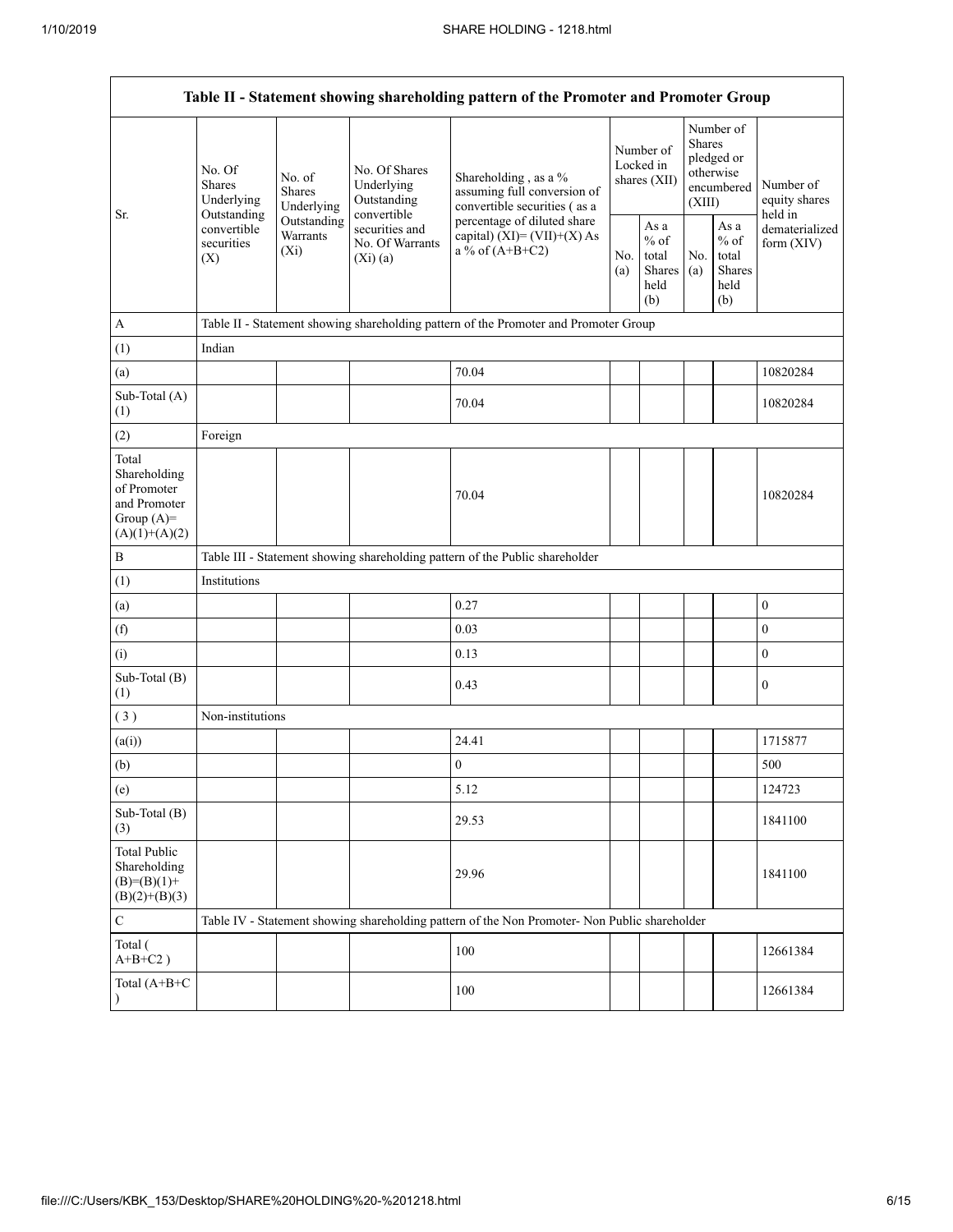| Table II - Statement showing shareholding pattern of the Promoter and Promoter Group    |                                                                          |                                    |                                                           |                                                                                               |                                        |                                                  |                                                                               |                                                  |                                       |  |
|-----------------------------------------------------------------------------------------|--------------------------------------------------------------------------|------------------------------------|-----------------------------------------------------------|-----------------------------------------------------------------------------------------------|----------------------------------------|--------------------------------------------------|-------------------------------------------------------------------------------|--------------------------------------------------|---------------------------------------|--|
| Sr.                                                                                     | No. Of<br>No. of<br><b>Shares</b><br>Shares<br>Underlying<br>Outstanding | Underlying                         | No. Of Shares<br>Underlying<br>Outstanding<br>convertible | Shareholding, as a %<br>assuming full conversion of<br>convertible securities (as a           | Number of<br>Locked in<br>shares (XII) |                                                  | Number of<br><b>Shares</b><br>pledged or<br>otherwise<br>encumbered<br>(XIII) |                                                  | Number of<br>equity shares<br>held in |  |
|                                                                                         | convertible<br>securities<br>(X)                                         | Outstanding<br>Warrants<br>$(X_i)$ | securities and<br>No. Of Warrants<br>$(Xi)$ (a)           | percentage of diluted share<br>capital) $(XI) = (VII)+(X) As$<br>a % of $(A+B+C2)$            | No.<br>(a)                             | As a<br>$%$ of<br>total<br>Shares<br>held<br>(b) | No.<br>(a)                                                                    | As a<br>$%$ of<br>total<br>Shares<br>held<br>(b) | dematerialized<br>form $(XIV)$        |  |
| $\boldsymbol{A}$                                                                        |                                                                          |                                    |                                                           | Table II - Statement showing shareholding pattern of the Promoter and Promoter Group          |                                        |                                                  |                                                                               |                                                  |                                       |  |
| (1)                                                                                     | Indian                                                                   |                                    |                                                           |                                                                                               |                                        |                                                  |                                                                               |                                                  |                                       |  |
| (a)                                                                                     |                                                                          |                                    |                                                           | 70.04                                                                                         |                                        |                                                  |                                                                               |                                                  | 10820284                              |  |
| Sub-Total (A)<br>(1)                                                                    |                                                                          |                                    |                                                           | 70.04                                                                                         |                                        |                                                  |                                                                               |                                                  | 10820284                              |  |
| (2)                                                                                     | Foreign                                                                  |                                    |                                                           |                                                                                               |                                        |                                                  |                                                                               |                                                  |                                       |  |
| Total<br>Shareholding<br>of Promoter<br>and Promoter<br>Group $(A)=$<br>$(A)(1)+(A)(2)$ |                                                                          |                                    |                                                           | 70.04                                                                                         |                                        |                                                  |                                                                               |                                                  | 10820284                              |  |
| $\, {\bf B}$                                                                            |                                                                          |                                    |                                                           | Table III - Statement showing shareholding pattern of the Public shareholder                  |                                        |                                                  |                                                                               |                                                  |                                       |  |
| (1)                                                                                     | Institutions                                                             |                                    |                                                           |                                                                                               |                                        |                                                  |                                                                               |                                                  |                                       |  |
| (a)                                                                                     |                                                                          |                                    |                                                           | 0.27                                                                                          |                                        |                                                  |                                                                               |                                                  | $\boldsymbol{0}$                      |  |
| (f)                                                                                     |                                                                          |                                    |                                                           | 0.03                                                                                          |                                        |                                                  |                                                                               |                                                  | $\boldsymbol{0}$                      |  |
| (i)                                                                                     |                                                                          |                                    |                                                           | 0.13                                                                                          |                                        |                                                  |                                                                               |                                                  | $\mathbf{0}$                          |  |
| Sub-Total (B)<br>(1)                                                                    |                                                                          |                                    |                                                           | 0.43                                                                                          |                                        |                                                  |                                                                               |                                                  | $\mathbf{0}$                          |  |
| (3)                                                                                     | Non-institutions                                                         |                                    |                                                           |                                                                                               |                                        |                                                  |                                                                               |                                                  |                                       |  |
| (a(i))                                                                                  |                                                                          |                                    |                                                           | 24.41                                                                                         |                                        |                                                  |                                                                               |                                                  | 1715877                               |  |
| (b)                                                                                     |                                                                          |                                    |                                                           | $\boldsymbol{0}$                                                                              |                                        |                                                  |                                                                               |                                                  | 500                                   |  |
| (e)                                                                                     |                                                                          |                                    |                                                           | 5.12                                                                                          |                                        |                                                  |                                                                               |                                                  | 124723                                |  |
| Sub-Total (B)<br>(3)                                                                    |                                                                          |                                    |                                                           | 29.53                                                                                         |                                        |                                                  |                                                                               |                                                  | 1841100                               |  |
| <b>Total Public</b><br>Shareholding<br>$(B)=(B)(1)+$<br>$(B)(2)+(B)(3)$                 |                                                                          |                                    |                                                           | 29.96                                                                                         |                                        |                                                  |                                                                               |                                                  | 1841100                               |  |
| $\mathsf C$                                                                             |                                                                          |                                    |                                                           | Table IV - Statement showing shareholding pattern of the Non Promoter- Non Public shareholder |                                        |                                                  |                                                                               |                                                  |                                       |  |
| Total (<br>$A+B+C2$ )                                                                   |                                                                          |                                    |                                                           | 100                                                                                           |                                        |                                                  |                                                                               |                                                  | 12661384                              |  |
| Total (A+B+C                                                                            |                                                                          |                                    |                                                           | 100                                                                                           |                                        |                                                  |                                                                               |                                                  | 12661384                              |  |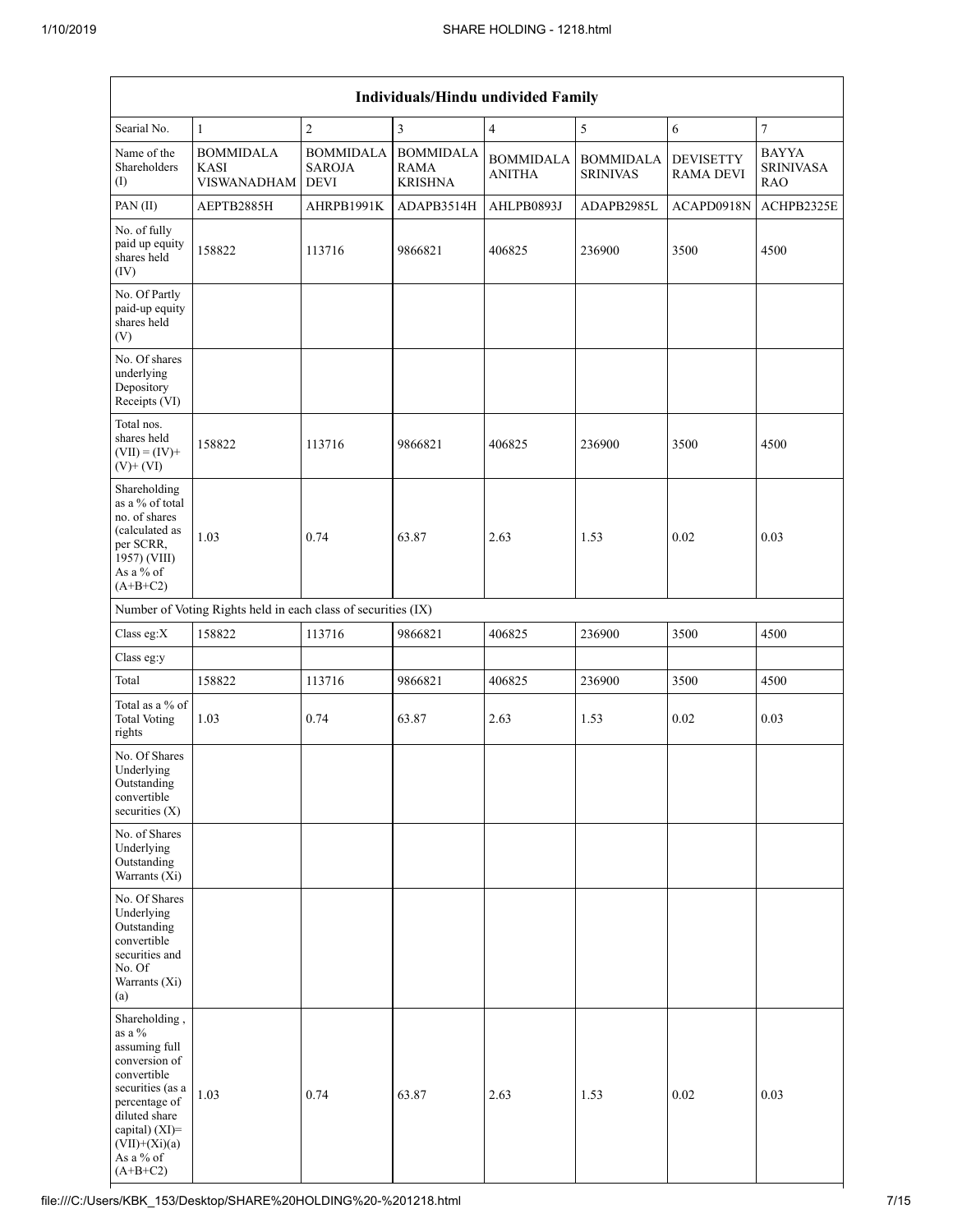|                                                                                                                                                                                                   | <b>Individuals/Hindu undivided Family</b>                     |                                                  |                                                   |                                   |                                     |                                      |                                                |  |  |  |
|---------------------------------------------------------------------------------------------------------------------------------------------------------------------------------------------------|---------------------------------------------------------------|--------------------------------------------------|---------------------------------------------------|-----------------------------------|-------------------------------------|--------------------------------------|------------------------------------------------|--|--|--|
| Searial No.                                                                                                                                                                                       | $\mathbf{1}$                                                  | $\overline{2}$                                   | $\mathfrak{Z}$                                    | $\overline{4}$                    | 5                                   | $\sqrt{6}$                           | $\overline{7}$                                 |  |  |  |
| Name of the<br>Shareholders<br>(I)                                                                                                                                                                | <b>BOMMIDALA</b><br><b>KASI</b><br><b>VISWANADHAM</b>         | <b>BOMMIDALA</b><br><b>SAROJA</b><br><b>DEVI</b> | <b>BOMMIDALA</b><br><b>RAMA</b><br><b>KRISHNA</b> | <b>BOMMIDALA</b><br><b>ANITHA</b> | <b>BOMMIDALA</b><br><b>SRINIVAS</b> | <b>DEVISETTY</b><br><b>RAMA DEVI</b> | <b>BAYYA</b><br><b>SRINIVASA</b><br><b>RAO</b> |  |  |  |
| PAN (II)                                                                                                                                                                                          | AEPTB2885H                                                    | AHRPB1991K                                       | ADAPB3514H                                        | AHLPB0893J                        | ADAPB2985L                          | ACAPD0918N                           | ACHPB2325E                                     |  |  |  |
| No. of fully<br>paid up equity<br>shares held<br>(IV)                                                                                                                                             | 158822                                                        | 113716                                           | 9866821                                           | 406825                            | 236900                              | 3500                                 | 4500                                           |  |  |  |
| No. Of Partly<br>paid-up equity<br>shares held<br>(V)                                                                                                                                             |                                                               |                                                  |                                                   |                                   |                                     |                                      |                                                |  |  |  |
| No. Of shares<br>underlying<br>Depository<br>Receipts (VI)                                                                                                                                        |                                                               |                                                  |                                                   |                                   |                                     |                                      |                                                |  |  |  |
| Total nos.<br>shares held<br>$(VII) = (IV) +$<br>$(V)$ + $(VI)$                                                                                                                                   | 158822                                                        | 113716                                           | 9866821                                           | 406825                            | 236900                              | 3500                                 | 4500                                           |  |  |  |
| Shareholding<br>as a % of total<br>no. of shares<br>(calculated as<br>per SCRR,<br>1957) (VIII)<br>As a % of<br>$(A+B+C2)$                                                                        | 1.03                                                          | 0.74                                             | 63.87                                             | 2.63                              | 1.53                                | 0.02                                 | 0.03                                           |  |  |  |
|                                                                                                                                                                                                   | Number of Voting Rights held in each class of securities (IX) |                                                  |                                                   |                                   |                                     |                                      |                                                |  |  |  |
| Class eg:X                                                                                                                                                                                        | 158822                                                        | 113716                                           | 9866821                                           | 406825                            | 236900                              | 3500                                 | 4500                                           |  |  |  |
| Class eg:y                                                                                                                                                                                        |                                                               |                                                  |                                                   |                                   |                                     |                                      |                                                |  |  |  |
| Total                                                                                                                                                                                             | 158822                                                        | 113716                                           | 9866821                                           | 406825                            | 236900                              | 3500                                 | 4500                                           |  |  |  |
| Total as a % of<br><b>Total Voting</b><br>rights                                                                                                                                                  | 1.03                                                          | 0.74                                             | 63.87                                             | 2.63                              | 1.53                                | 0.02                                 | 0.03                                           |  |  |  |
| No. Of Shares<br>Underlying<br>Outstanding<br>convertible<br>securities $(X)$                                                                                                                     |                                                               |                                                  |                                                   |                                   |                                     |                                      |                                                |  |  |  |
| No. of Shares<br>Underlying<br>Outstanding<br>Warrants (Xi)                                                                                                                                       |                                                               |                                                  |                                                   |                                   |                                     |                                      |                                                |  |  |  |
| No. Of Shares<br>Underlying<br>Outstanding<br>convertible<br>securities and<br>No. Of<br>Warrants (Xi)<br>(a)                                                                                     |                                                               |                                                  |                                                   |                                   |                                     |                                      |                                                |  |  |  |
| Shareholding,<br>as a $\%$<br>assuming full<br>conversion of<br>convertible<br>securities (as a<br>percentage of<br>diluted share<br>capital) (XI)=<br>$(VII)+(Xi)(a)$<br>As a % of<br>$(A+B+C2)$ | 1.03                                                          | 0.74                                             | 63.87                                             | 2.63                              | 1.53                                | 0.02                                 | 0.03                                           |  |  |  |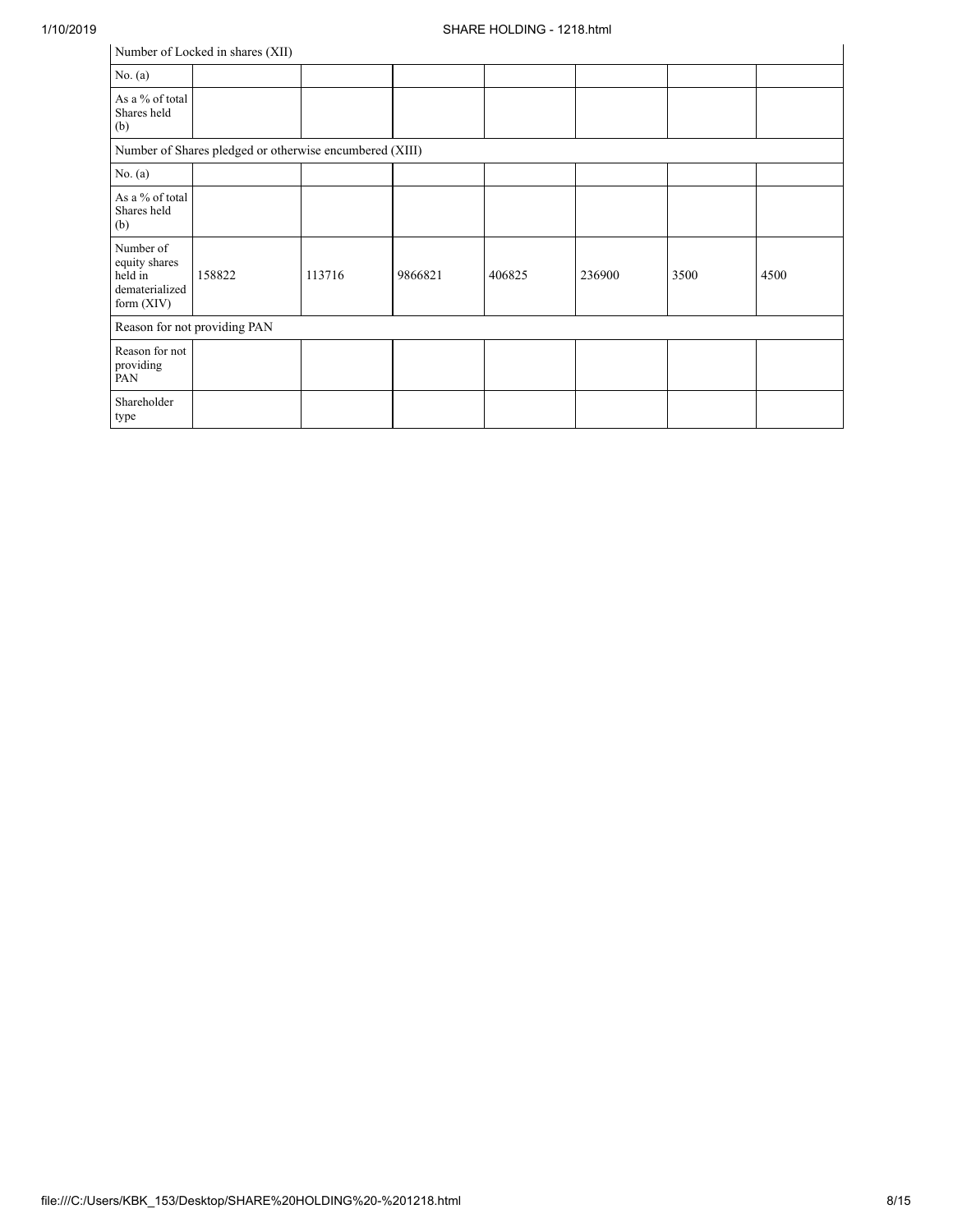|                                                                         | Number of Locked in shares (XII) |        |         |        |        |      |      |  |  |
|-------------------------------------------------------------------------|----------------------------------|--------|---------|--------|--------|------|------|--|--|
| No. (a)                                                                 |                                  |        |         |        |        |      |      |  |  |
| As a % of total<br>Shares held<br>(b)                                   |                                  |        |         |        |        |      |      |  |  |
| Number of Shares pledged or otherwise encumbered (XIII)                 |                                  |        |         |        |        |      |      |  |  |
| No. (a)                                                                 |                                  |        |         |        |        |      |      |  |  |
| As a % of total<br>Shares held<br>(b)                                   |                                  |        |         |        |        |      |      |  |  |
| Number of<br>equity shares<br>held in<br>dematerialized<br>form $(XIV)$ | 158822                           | 113716 | 9866821 | 406825 | 236900 | 3500 | 4500 |  |  |
|                                                                         | Reason for not providing PAN     |        |         |        |        |      |      |  |  |
| Reason for not<br>providing<br>PAN                                      |                                  |        |         |        |        |      |      |  |  |
| Shareholder<br>type                                                     |                                  |        |         |        |        |      |      |  |  |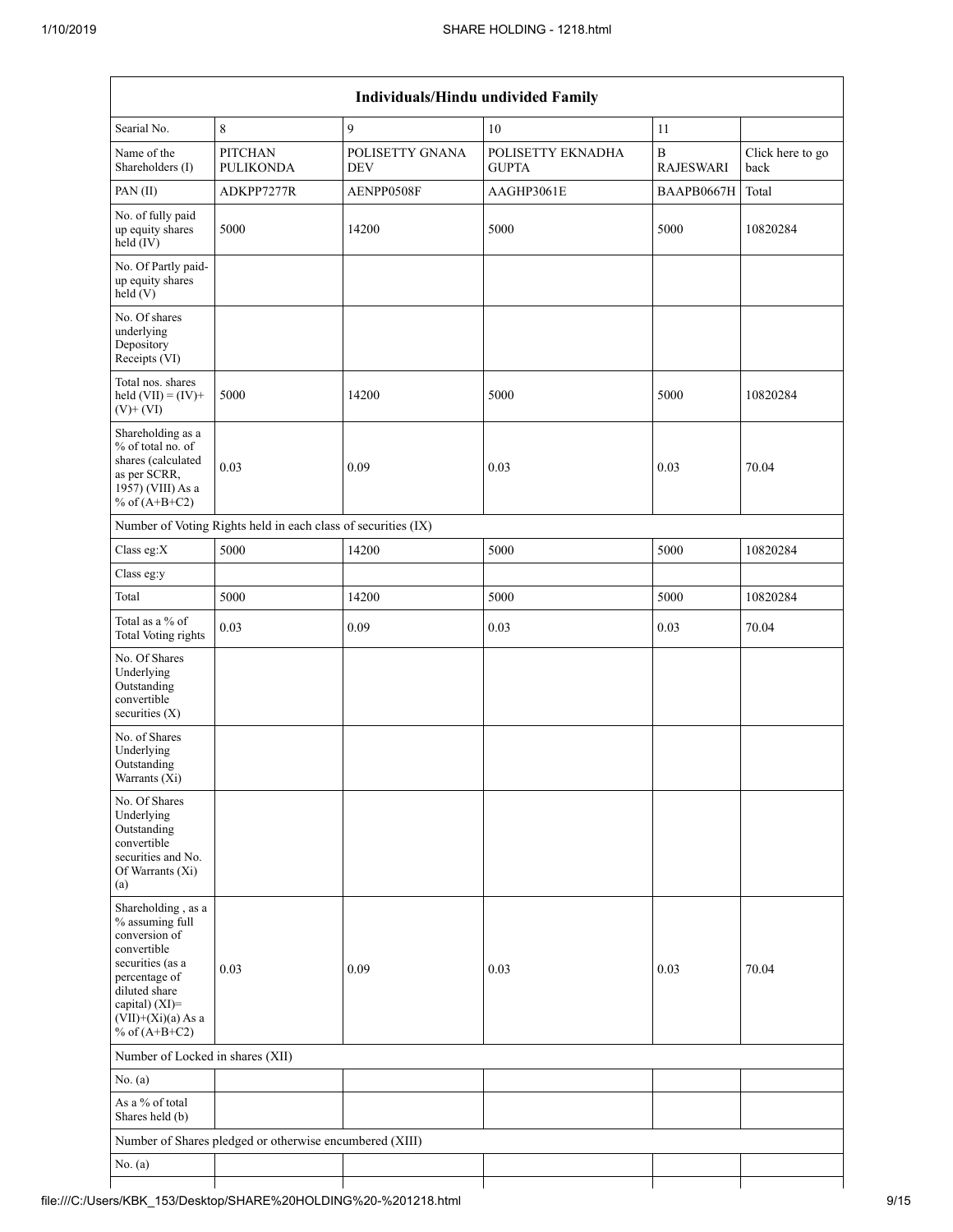| Individuals/Hindu undivided Family                                                                                                                                                       |                                                         |                               |                                   |                                  |                          |  |  |  |  |  |
|------------------------------------------------------------------------------------------------------------------------------------------------------------------------------------------|---------------------------------------------------------|-------------------------------|-----------------------------------|----------------------------------|--------------------------|--|--|--|--|--|
| Searial No.                                                                                                                                                                              | 8                                                       | 9                             | 10                                | 11                               |                          |  |  |  |  |  |
| Name of the<br>Shareholders (I)                                                                                                                                                          | PITCHAN<br><b>PULIKONDA</b>                             | POLISETTY GNANA<br><b>DEV</b> | POLISETTY EKNADHA<br><b>GUPTA</b> | $\, {\bf B}$<br><b>RAJESWARI</b> | Click here to go<br>back |  |  |  |  |  |
| PAN (II)                                                                                                                                                                                 | ADKPP7277R                                              | AENPP0508F                    | AAGHP3061E                        | BAAPB0667H                       | Total                    |  |  |  |  |  |
| No. of fully paid<br>up equity shares<br>held (IV)                                                                                                                                       | 5000                                                    | 14200                         | 5000                              | 5000                             | 10820284                 |  |  |  |  |  |
| No. Of Partly paid-<br>up equity shares<br>held(V)                                                                                                                                       |                                                         |                               |                                   |                                  |                          |  |  |  |  |  |
| No. Of shares<br>underlying<br>Depository<br>Receipts (VI)                                                                                                                               |                                                         |                               |                                   |                                  |                          |  |  |  |  |  |
| Total nos. shares<br>held $(VII) = (IV) +$<br>$(V)$ + $(VI)$                                                                                                                             | 5000                                                    | 14200                         | 5000                              | 5000                             | 10820284                 |  |  |  |  |  |
| Shareholding as a<br>% of total no. of<br>shares (calculated<br>as per SCRR,<br>1957) (VIII) As a<br>% of $(A+B+C2)$                                                                     | 0.03                                                    | 0.09                          | 0.03                              | 0.03                             | 70.04                    |  |  |  |  |  |
| Number of Voting Rights held in each class of securities (IX)                                                                                                                            |                                                         |                               |                                   |                                  |                          |  |  |  |  |  |
| Class eg:X                                                                                                                                                                               | 5000                                                    | 14200                         | 5000                              | 5000                             | 10820284                 |  |  |  |  |  |
| Class eg:y                                                                                                                                                                               |                                                         |                               |                                   |                                  |                          |  |  |  |  |  |
| Total                                                                                                                                                                                    | 5000                                                    | 14200                         | 5000                              | 5000                             | 10820284                 |  |  |  |  |  |
| Total as a % of<br><b>Total Voting rights</b>                                                                                                                                            | 0.03                                                    | 0.09                          | 0.03                              | 0.03                             | 70.04                    |  |  |  |  |  |
| No. Of Shares<br>Underlying<br>Outstanding<br>convertible<br>securities $(X)$                                                                                                            |                                                         |                               |                                   |                                  |                          |  |  |  |  |  |
| No. of Shares<br>Underlying<br>Outstanding<br>Warrants (Xi)                                                                                                                              |                                                         |                               |                                   |                                  |                          |  |  |  |  |  |
| No. Of Shares<br>Underlying<br>Outstanding<br>convertible<br>securities and No.<br>Of Warrants (Xi)<br>(a)                                                                               |                                                         |                               |                                   |                                  |                          |  |  |  |  |  |
| Shareholding, as a<br>% assuming full<br>conversion of<br>convertible<br>securities (as a<br>percentage of<br>diluted share<br>capital) (XI)=<br>$(VII)+(Xi)(a)$ As a<br>% of $(A+B+C2)$ | 0.03                                                    | 0.09                          | 0.03                              | 0.03                             | 70.04                    |  |  |  |  |  |
| Number of Locked in shares (XII)                                                                                                                                                         |                                                         |                               |                                   |                                  |                          |  |  |  |  |  |
| No. (a)                                                                                                                                                                                  |                                                         |                               |                                   |                                  |                          |  |  |  |  |  |
| As a % of total<br>Shares held (b)                                                                                                                                                       |                                                         |                               |                                   |                                  |                          |  |  |  |  |  |
|                                                                                                                                                                                          | Number of Shares pledged or otherwise encumbered (XIII) |                               |                                   |                                  |                          |  |  |  |  |  |
| No. (a)                                                                                                                                                                                  |                                                         |                               |                                   |                                  |                          |  |  |  |  |  |
|                                                                                                                                                                                          |                                                         |                               |                                   |                                  |                          |  |  |  |  |  |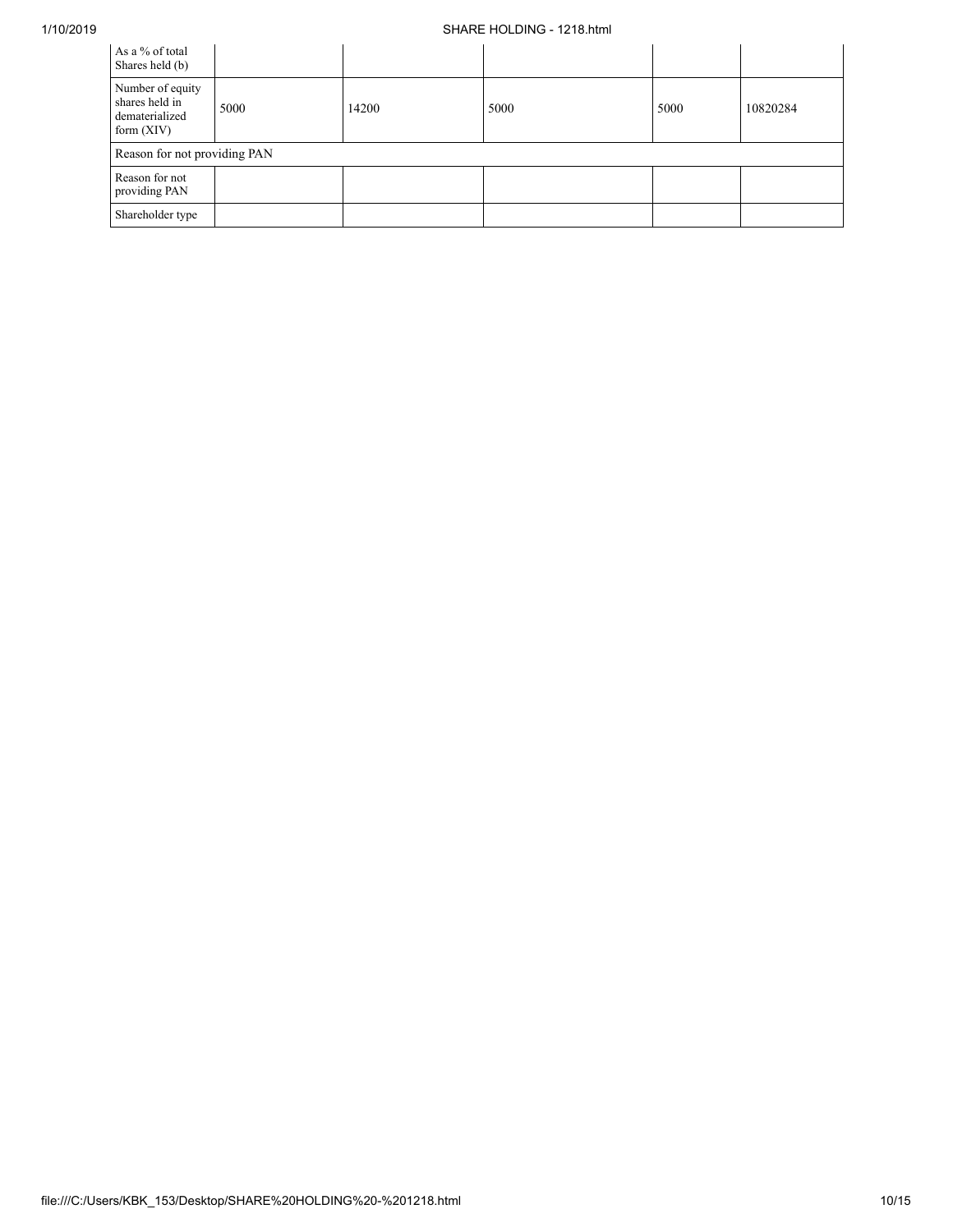## 1/10/2019 SHARE HOLDING - 1218.html

| As a % of total<br>Shares held (b)                                   |      |       |      |      |          |  |  |  |
|----------------------------------------------------------------------|------|-------|------|------|----------|--|--|--|
| Number of equity<br>shares held in<br>dematerialized<br>form $(XIV)$ | 5000 | 14200 | 5000 | 5000 | 10820284 |  |  |  |
| Reason for not providing PAN                                         |      |       |      |      |          |  |  |  |
| Reason for not<br>providing PAN                                      |      |       |      |      |          |  |  |  |
| Shareholder type                                                     |      |       |      |      |          |  |  |  |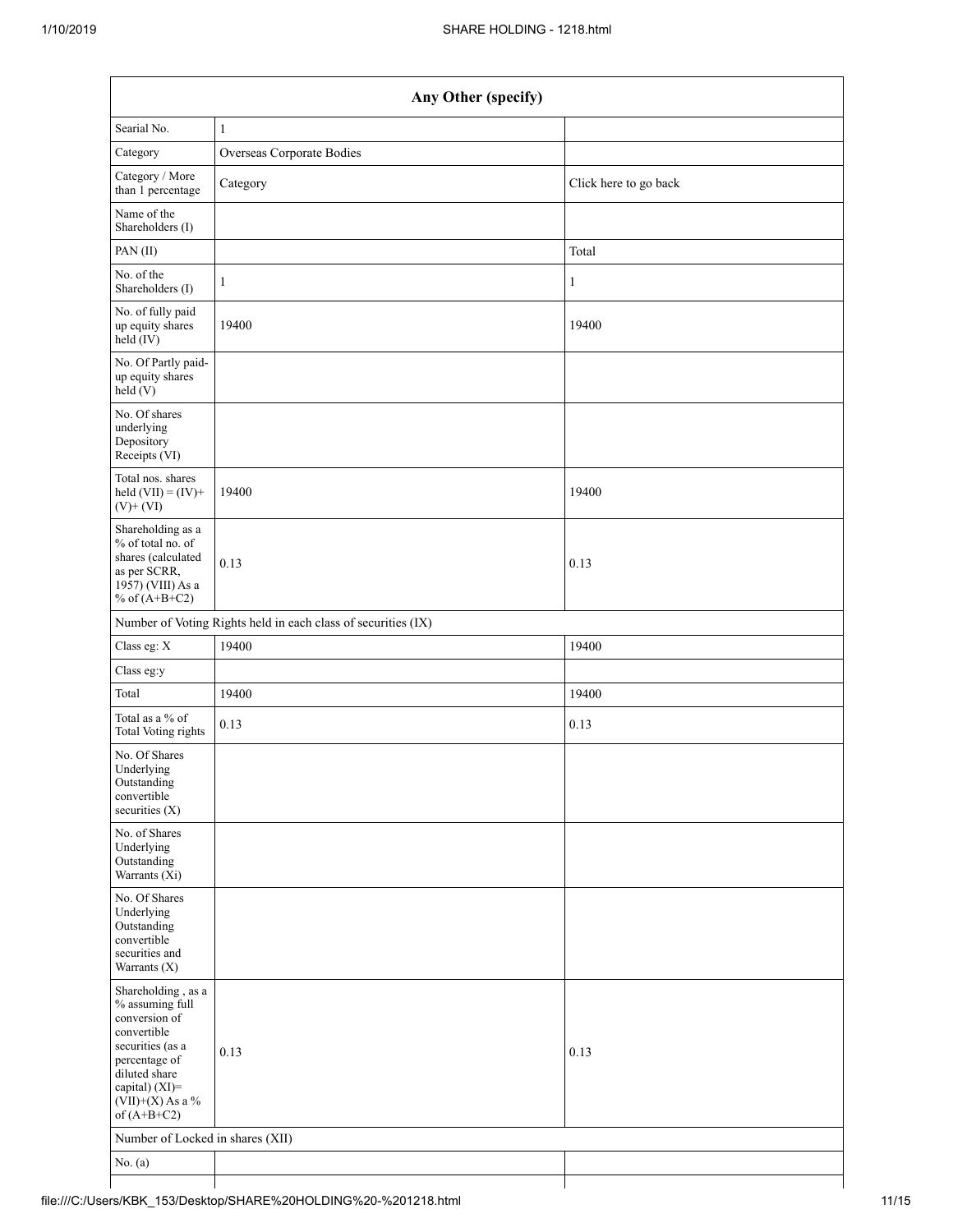|                                                                                                                                                                                      | Any Other (specify)       |                       |  |  |  |  |  |  |
|--------------------------------------------------------------------------------------------------------------------------------------------------------------------------------------|---------------------------|-----------------------|--|--|--|--|--|--|
| Searial No.                                                                                                                                                                          | $\mathbf{1}$              |                       |  |  |  |  |  |  |
| Category                                                                                                                                                                             | Overseas Corporate Bodies |                       |  |  |  |  |  |  |
| Category / More<br>than 1 percentage                                                                                                                                                 | Category                  | Click here to go back |  |  |  |  |  |  |
| Name of the<br>Shareholders (I)                                                                                                                                                      |                           |                       |  |  |  |  |  |  |
| PAN(II)                                                                                                                                                                              |                           | Total                 |  |  |  |  |  |  |
| No. of the<br>Shareholders (I)                                                                                                                                                       | $\mathbf{1}$              | 1                     |  |  |  |  |  |  |
| No. of fully paid<br>up equity shares<br>$\text{held}(\text{IV})$                                                                                                                    | 19400                     | 19400                 |  |  |  |  |  |  |
| No. Of Partly paid-<br>up equity shares<br>held(V)                                                                                                                                   |                           |                       |  |  |  |  |  |  |
| No. Of shares<br>underlying<br>Depository<br>Receipts (VI)                                                                                                                           |                           |                       |  |  |  |  |  |  |
| Total nos. shares<br>held $(VII) = (IV) +$<br>$(V)$ + $(VI)$                                                                                                                         | 19400                     | 19400                 |  |  |  |  |  |  |
| Shareholding as a<br>% of total no. of<br>shares (calculated<br>as per SCRR,<br>1957) (VIII) As a<br>% of $(A+B+C2)$                                                                 | 0.13                      | 0.13                  |  |  |  |  |  |  |
| Number of Voting Rights held in each class of securities (IX)                                                                                                                        |                           |                       |  |  |  |  |  |  |
| Class eg: X                                                                                                                                                                          | 19400                     | 19400                 |  |  |  |  |  |  |
| Class eg:y                                                                                                                                                                           |                           |                       |  |  |  |  |  |  |
| Total                                                                                                                                                                                | 19400                     | 19400                 |  |  |  |  |  |  |
| Total as a % of<br>Total Voting rights                                                                                                                                               | 0.13                      | 0.13                  |  |  |  |  |  |  |
| No. Of Shares<br>Underlying<br>Outstanding<br>convertible<br>securities (X)                                                                                                          |                           |                       |  |  |  |  |  |  |
| No. of Shares<br>Underlying<br>Outstanding<br>Warrants (Xi)                                                                                                                          |                           |                       |  |  |  |  |  |  |
| No. Of Shares<br>Underlying<br>Outstanding<br>convertible<br>securities and<br>Warrants (X)                                                                                          |                           |                       |  |  |  |  |  |  |
| Shareholding, as a<br>% assuming full<br>conversion of<br>convertible<br>securities (as a<br>percentage of<br>diluted share<br>capital) (XI)=<br>$(VII)+(X)$ As a %<br>of $(A+B+C2)$ | 0.13                      | 0.13                  |  |  |  |  |  |  |
| Number of Locked in shares (XII)                                                                                                                                                     |                           |                       |  |  |  |  |  |  |
| No. $(a)$                                                                                                                                                                            |                           |                       |  |  |  |  |  |  |
|                                                                                                                                                                                      |                           |                       |  |  |  |  |  |  |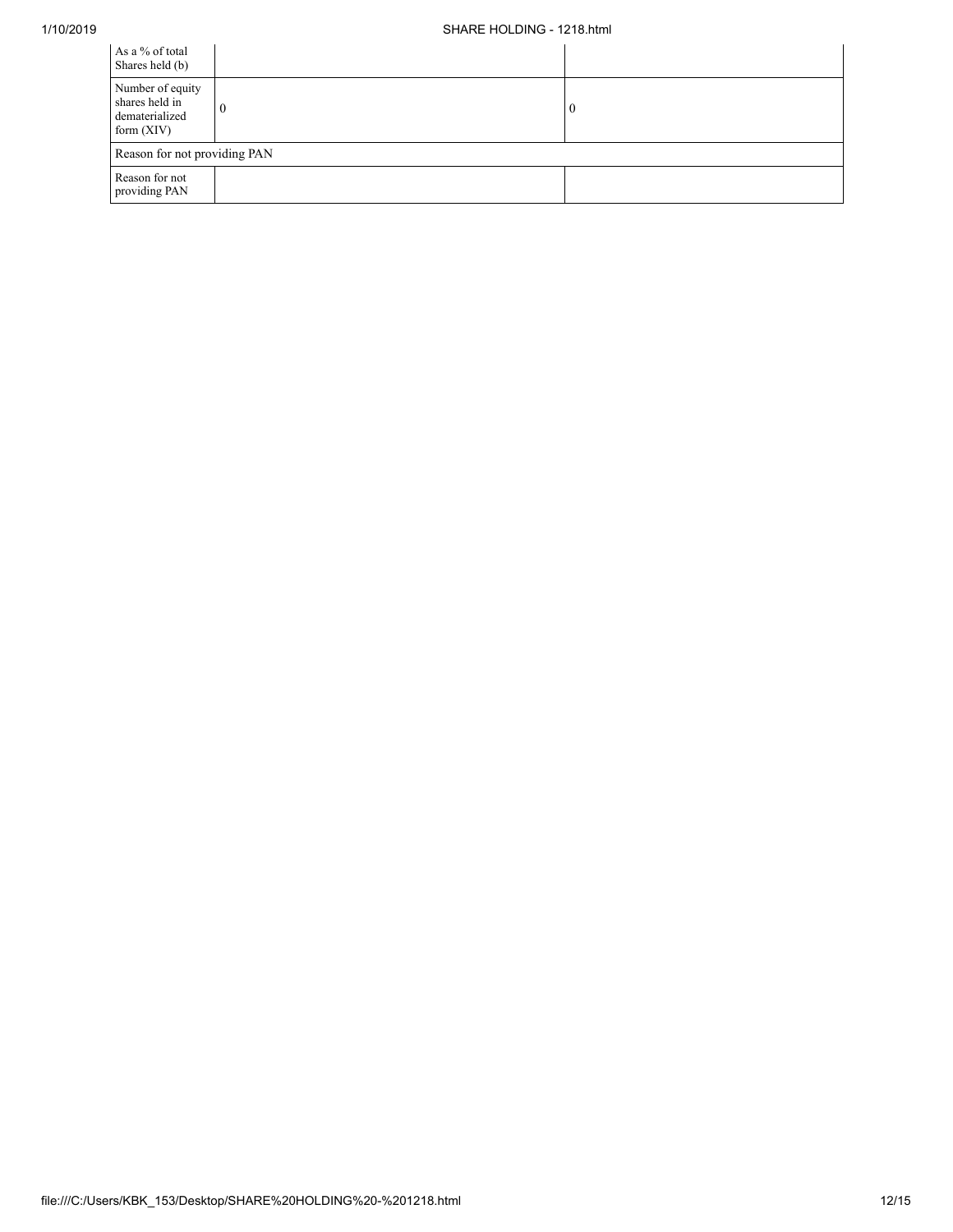## 1/10/2019 SHARE HOLDING - 1218.html

| As a % of total<br>Shares held (b)                                   |  |          |  |  |  |  |  |
|----------------------------------------------------------------------|--|----------|--|--|--|--|--|
| Number of equity<br>shares held in<br>dematerialized<br>form $(XIV)$ |  | $\bf{0}$ |  |  |  |  |  |
| Reason for not providing PAN                                         |  |          |  |  |  |  |  |
| Reason for not<br>providing PAN                                      |  |          |  |  |  |  |  |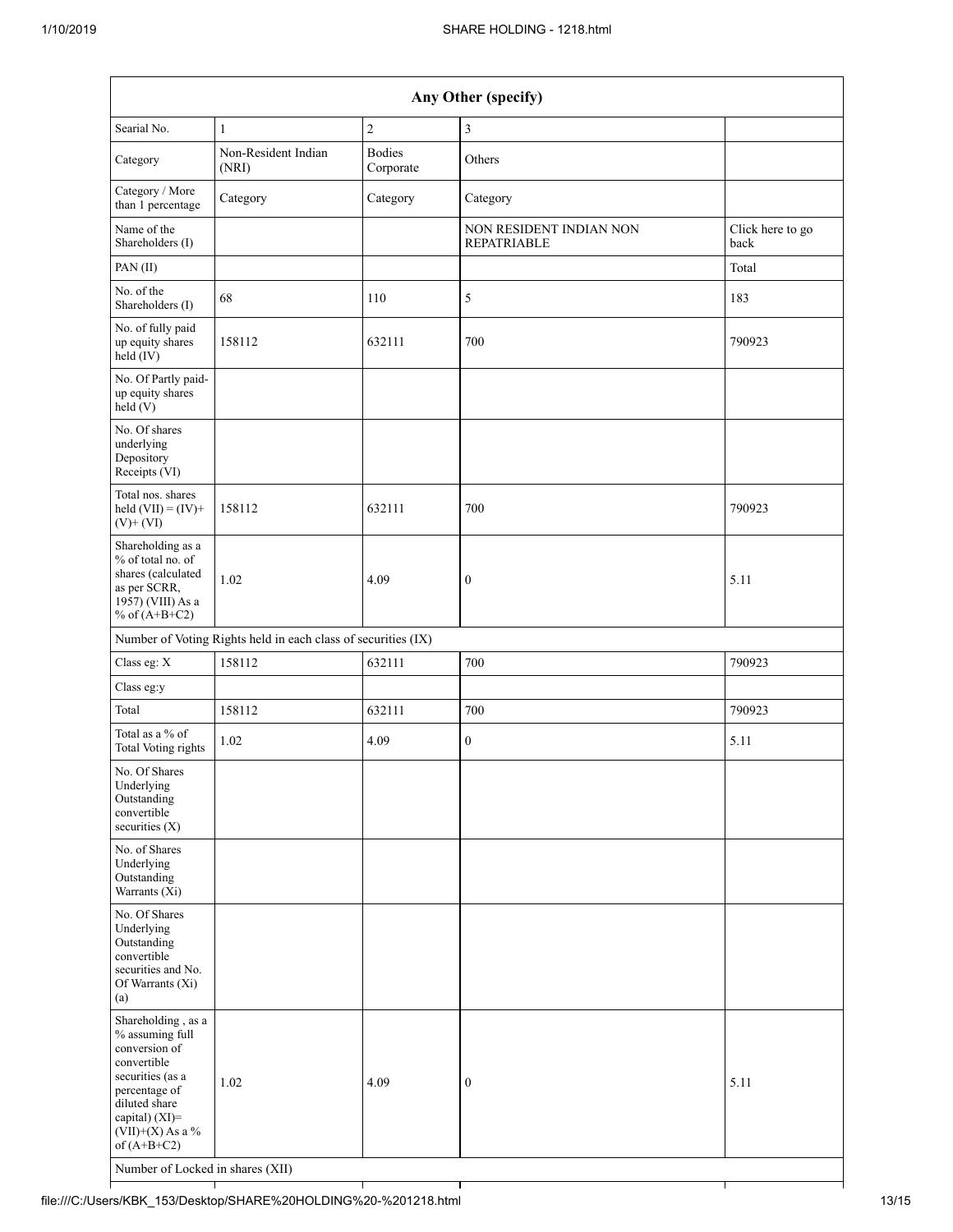| Any Other (specify)                                                                                                                                                                                                      |                              |                            |                                               |                          |  |  |
|--------------------------------------------------------------------------------------------------------------------------------------------------------------------------------------------------------------------------|------------------------------|----------------------------|-----------------------------------------------|--------------------------|--|--|
| Searial No.                                                                                                                                                                                                              | $\mathbf{1}$                 | $\sqrt{2}$                 | 3                                             |                          |  |  |
| Category                                                                                                                                                                                                                 | Non-Resident Indian<br>(NRI) | <b>Bodies</b><br>Corporate | Others                                        |                          |  |  |
| Category / More<br>than 1 percentage                                                                                                                                                                                     | Category                     | Category                   | Category                                      |                          |  |  |
| Name of the<br>Shareholders (I)                                                                                                                                                                                          |                              |                            | NON RESIDENT INDIAN NON<br><b>REPATRIABLE</b> | Click here to go<br>back |  |  |
| PAN(II)                                                                                                                                                                                                                  |                              |                            |                                               | Total                    |  |  |
| No. of the<br>Shareholders (I)                                                                                                                                                                                           | 68                           | 110                        | 5                                             | 183                      |  |  |
| No. of fully paid<br>up equity shares<br>$held$ (IV)                                                                                                                                                                     | 158112                       | 632111                     | 700                                           | 790923                   |  |  |
| No. Of Partly paid-<br>up equity shares<br>held(V)                                                                                                                                                                       |                              |                            |                                               |                          |  |  |
| No. Of shares<br>underlying<br>Depository<br>Receipts (VI)                                                                                                                                                               |                              |                            |                                               |                          |  |  |
| Total nos. shares<br>held $(VII) = (IV) +$<br>$(V)$ + $(VI)$                                                                                                                                                             | 158112                       | 632111                     | 700                                           | 790923                   |  |  |
| Shareholding as a<br>% of total no. of<br>shares (calculated<br>as per SCRR,<br>1957) (VIII) As a<br>% of $(A+B+C2)$                                                                                                     | 1.02                         | 4.09                       | $\boldsymbol{0}$                              | 5.11                     |  |  |
| Number of Voting Rights held in each class of securities (IX)                                                                                                                                                            |                              |                            |                                               |                          |  |  |
| Class eg: X                                                                                                                                                                                                              | 158112                       | 632111                     | 700                                           | 790923                   |  |  |
| Class eg:y                                                                                                                                                                                                               |                              |                            |                                               |                          |  |  |
| Total                                                                                                                                                                                                                    | 158112                       | 632111                     | 700                                           | 790923                   |  |  |
| Total as a % of<br><b>Total Voting rights</b>                                                                                                                                                                            | 1.02                         | 4.09                       | $\boldsymbol{0}$                              | 5.11                     |  |  |
| No. Of Shares<br>Underlying<br>Outstanding<br>convertible<br>securities (X)                                                                                                                                              |                              |                            |                                               |                          |  |  |
| No. of Shares<br>Underlying<br>Outstanding<br>Warrants $(X_i)$                                                                                                                                                           |                              |                            |                                               |                          |  |  |
| No. Of Shares<br>Underlying<br>Outstanding<br>convertible<br>securities and No.<br>Of Warrants (Xi)<br>(a)                                                                                                               |                              |                            |                                               |                          |  |  |
| Shareholding, as a<br>% assuming full<br>conversion of<br>convertible<br>securities (as a<br>percentage of<br>diluted share<br>capital) (XI)=<br>$(VII)+(X)$ As a %<br>of $(A+B+C2)$<br>Number of Locked in shares (XII) | 1.02                         | 4.09                       | $\boldsymbol{0}$                              | 5.11                     |  |  |
|                                                                                                                                                                                                                          |                              |                            |                                               |                          |  |  |

file:///C:/Users/KBK\_153/Desktop/SHARE%20HOLDING%20-%201218.html 13/15

┪